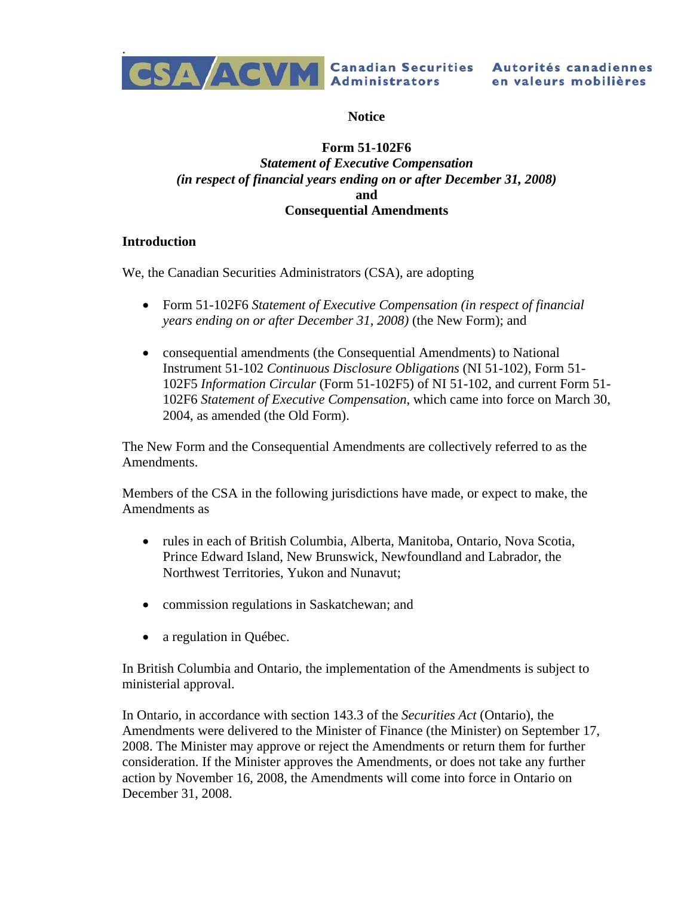

**Notice** 

# **Form 51-102F6**  *Statement of Executive Compensation (in respect of financial years ending on or after December 31, 2008)*  **and Consequential Amendments**

## **Introduction**

We, the Canadian Securities Administrators (CSA), are adopting

- Form 51-102F6 *Statement of Executive Compensation (in respect of financial years ending on or after December 31, 2008)* (the New Form); and
- consequential amendments (the Consequential Amendments) to National Instrument 51-102 *Continuous Disclosure Obligations* (NI 51-102), Form 51- 102F5 *Information Circular* (Form 51-102F5) of NI 51-102, and current Form 51- 102F6 *Statement of Executive Compensation*, which came into force on March 30, 2004, as amended (the Old Form).

The New Form and the Consequential Amendments are collectively referred to as the Amendments.

Members of the CSA in the following jurisdictions have made, or expect to make, the Amendments as

- rules in each of British Columbia, Alberta, Manitoba, Ontario, Nova Scotia, Prince Edward Island, New Brunswick, Newfoundland and Labrador, the Northwest Territories, Yukon and Nunavut;
- commission regulations in Saskatchewan; and
- a regulation in Ouébec.

In British Columbia and Ontario, the implementation of the Amendments is subject to ministerial approval.

In Ontario, in accordance with section 143.3 of the *Securities Act* (Ontario), the Amendments were delivered to the Minister of Finance (the Minister) on September 17, 2008. The Minister may approve or reject the Amendments or return them for further consideration. If the Minister approves the Amendments, or does not take any further action by November 16, 2008, the Amendments will come into force in Ontario on December 31, 2008.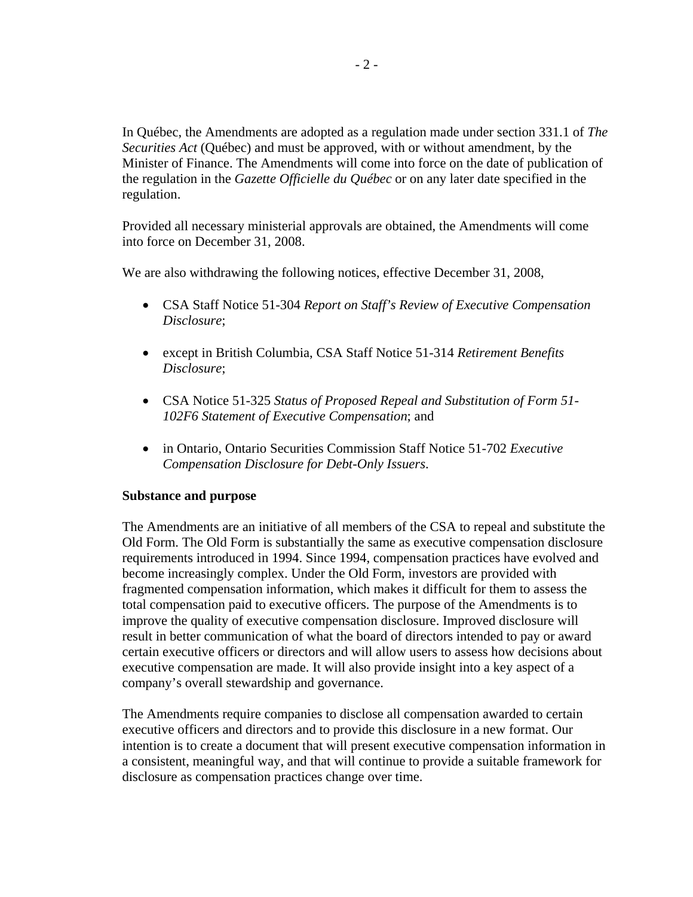In Québec, the Amendments are adopted as a regulation made under section 331.1 of *The Securities Act* (Québec) and must be approved, with or without amendment, by the Minister of Finance. The Amendments will come into force on the date of publication of the regulation in the *Gazette Officielle du Québec* or on any later date specified in the regulation.

Provided all necessary ministerial approvals are obtained, the Amendments will come into force on December 31, 2008.

We are also withdrawing the following notices, effective December 31, 2008,

- CSA Staff Notice 51-304 *Report on Staff's Review of Executive Compensation Disclosure*;
- except in British Columbia, CSA Staff Notice 51-314 *Retirement Benefits Disclosure*;
- CSA Notice 51-325 *Status of Proposed Repeal and Substitution of Form 51- 102F6 Statement of Executive Compensation*; and
- in Ontario, Ontario Securities Commission Staff Notice 51-702 *Executive Compensation Disclosure for Debt-Only Issuers*.

## **Substance and purpose**

The Amendments are an initiative of all members of the CSA to repeal and substitute the Old Form. The Old Form is substantially the same as executive compensation disclosure requirements introduced in 1994. Since 1994, compensation practices have evolved and become increasingly complex. Under the Old Form, investors are provided with fragmented compensation information, which makes it difficult for them to assess the total compensation paid to executive officers. The purpose of the Amendments is to improve the quality of executive compensation disclosure. Improved disclosure will result in better communication of what the board of directors intended to pay or award certain executive officers or directors and will allow users to assess how decisions about executive compensation are made. It will also provide insight into a key aspect of a company's overall stewardship and governance.

The Amendments require companies to disclose all compensation awarded to certain executive officers and directors and to provide this disclosure in a new format. Our intention is to create a document that will present executive compensation information in a consistent, meaningful way, and that will continue to provide a suitable framework for disclosure as compensation practices change over time.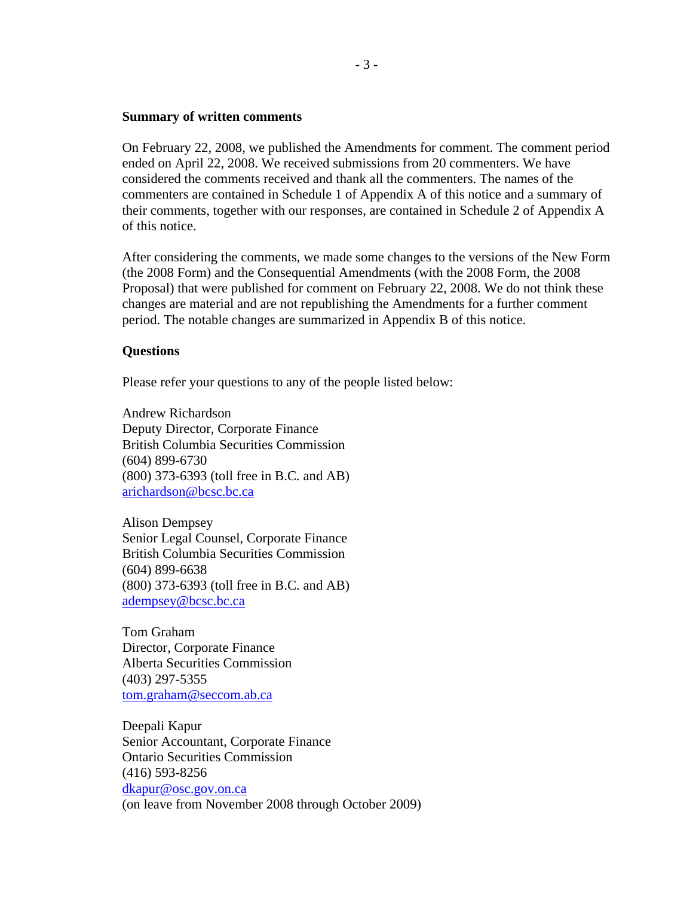#### **Summary of written comments**

On February 22, 2008, we published the Amendments for comment. The comment period ended on April 22, 2008. We received submissions from 20 commenters. We have considered the comments received and thank all the commenters. The names of the commenters are contained in Schedule 1 of Appendix A of this notice and a summary of their comments, together with our responses, are contained in Schedule 2 of Appendix A of this notice.

After considering the comments, we made some changes to the versions of the New Form (the 2008 Form) and the Consequential Amendments (with the 2008 Form, the 2008 Proposal) that were published for comment on February 22, 2008. We do not think these changes are material and are not republishing the Amendments for a further comment period. The notable changes are summarized in Appendix B of this notice.

### **Questions**

Please refer your questions to any of the people listed below:

Andrew Richardson Deputy Director, Corporate Finance British Columbia Securities Commission (604) 899-6730 (800) 373-6393 (toll free in B.C. and AB) [arichardson@bcsc.bc.ca](mailto:arichardson@bcsc.bc.ca)

Alison Dempsey Senior Legal Counsel, Corporate Finance British Columbia Securities Commission (604) 899-6638 (800) 373-6393 (toll free in B.C. and AB) [adempsey@bcsc.bc.ca](mailto:adempsey@bcsc.bc.ca)

Tom Graham Director, Corporate Finance Alberta Securities Commission (403) 297-5355 [tom.graham@seccom.ab.ca](mailto:tom.graham@seccom.ab.ca) 

Deepali Kapur Senior Accountant, Corporate Finance Ontario Securities Commission (416) 593-8256 [dkapur@osc.gov.on.ca](mailto:dkapur@osc.gov.on.ca) (on leave from November 2008 through October 2009)